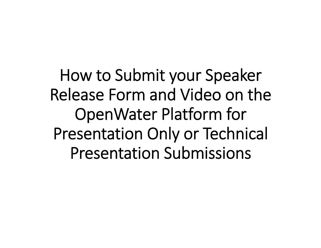How to Submit your Speaker Release Form and Video on the OpenWater Platform for Presentation Only or Technical Presentation Submissions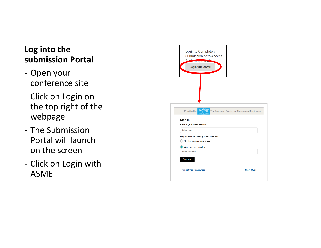# **Log into the submission Portal**

- ‐ Open yourconference site
- Click on Login on the top right of the webpage
- ‐ The Submission Portal will launch on the screen
- ‐ Click on Login with ASME

| Login to Complete a<br>Submission or to Access<br><b>Powinty Land</b><br><b>Login with ASME</b> |                                                               |
|-------------------------------------------------------------------------------------------------|---------------------------------------------------------------|
|                                                                                                 |                                                               |
|                                                                                                 |                                                               |
|                                                                                                 |                                                               |
|                                                                                                 |                                                               |
|                                                                                                 | Provided by ASME The American Society of Mechanical Engineers |
| Sign In                                                                                         |                                                               |
| What is your e-mail address?<br><b>Enter email</b>                                              |                                                               |
|                                                                                                 |                                                               |
| Do you have an existing ASME account?<br>No, I am a new customer                                |                                                               |
| Yes, my password is                                                                             |                                                               |
| <b>Enter Password</b>                                                                           |                                                               |
| Continue                                                                                        |                                                               |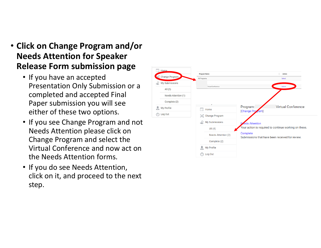- **Click on Change Program and/orNeeds Attention for Speaker Release Form submission page**
	- If you have an accepted Presentation Only Submission or acompleted and accepted Final Paper submission you will seeeither of these two options.
	- If you see Change Program and not Needs Attention please click on Change Program and select the Virtual Conference and now act onthe Needs Attention forms.
	- If you do see Needs Attention, click on it, and proceed to the nextstep.

| <b>Home</b><br>ä    | Program Name                 | Action                                                      |
|---------------------|------------------------------|-------------------------------------------------------------|
| Change Program      | All Programs                 | Select                                                      |
| My Submissions      | <b>Vrtual Conference</b>     | Select                                                      |
| All(3)              |                              |                                                             |
| Needs Attention (1) |                              |                                                             |
| Complete (2)        |                              |                                                             |
| My Profile<br>ž.    | Home<br>$\overrightarrow{a}$ | <b>Virtual Conference</b><br>Program:<br>[Change Program]   |
| Log Out<br>(1)      | Change Program               |                                                             |
|                     | <b>My Submissions</b>        | <b>Leds Attention</b>                                       |
|                     | All $(4)$                    | our action is required to continue working on these.        |
|                     | Needs Attention (2)          | Complete<br>Submissions that have been received for review. |
|                     | Complete (2)                 |                                                             |
|                     | <b>My Profile</b><br>홆       |                                                             |
|                     | Log Out<br>п                 |                                                             |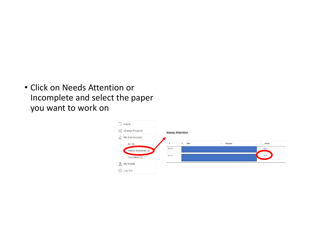• Click on Needs Attention or Incomplete and select the paper you want to work on

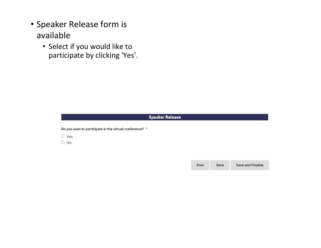- Speaker Release form isavailable
	- Select if you would like toparticipate by clicking 'Yes'.

## **Speaker Release**

Do you want to participate in the virtual conference? \*

- Yes
- $\bigcirc$  No

**Save and Finalize** Prev Save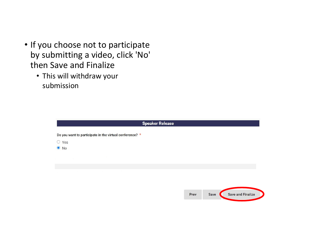- If you choose not to participate by submitting a video, click 'No' then Save and Finalize
	- This will withdraw your submission

|                                                         |  | <b>Speaker Release</b> |      |      |                          |
|---------------------------------------------------------|--|------------------------|------|------|--------------------------|
| Do you want to participate in the virtual conference? * |  |                        |      |      |                          |
| $\circ$<br>Yes<br>$\bullet$<br><b>No</b>                |  |                        |      |      |                          |
|                                                         |  |                        |      |      |                          |
|                                                         |  |                        |      |      |                          |
|                                                         |  |                        |      |      |                          |
|                                                         |  |                        | Prev | Save | <b>Save and Finalize</b> |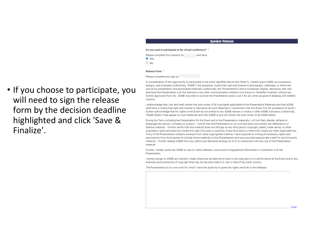## **Speaker Release**

#### Do you want to participate in the virtual conference? \*

| Please complete this question by | and Save. |
|----------------------------------|-----------|
| ● Yes                            |           |
| $\circ$ No                       |           |
|                                  |           |

#### Release Form \*

#### Please complete and sign by

• If you choose to participate, youwill need to sign the release form by the decision deadlinehighlighted and click 'Save & Finalize'.

In consideration of the opportunity to participate in the event identified above (the "Event"). I hereby grant ASME, its successors. assigns, and licensees (collectively, "ASME"), the perpetual, royalty-free right and license to photograph, videotape, or otherwise record my presentation and associated materials (collectively, the "Presentation") and to broadcast, display, reproduce, edit, and distribute the Presentation over the internet or any other communication medium now known or hereafter invented, without any further approvals from me. ASME may elect to archive the Presentation and/or use it for any other purpose in keeping with ASME's mission.

I acknowledge that I am and shall remain the sole owner of all copyrights applicable to the Presentation Materials and that ASME shall have a rovalty-free right and license to reproduce all such Materials in connection with this Event. For the avoidance of doubt, I further acknowledge that my rights in the Event do not extend to any ASME names or marks or other ASME indicators (collectively, "ASME Marks") that appear on such Materials and that ASME is and will remain the sole owner of all ASME Marks.

During the Term, including the Presentation for the Event and in the Presentation materials, I will not libel, slander, defame or disparage any person, company or product. I certify that the Presentation is my own and does not contain any defamatory or libelous material. I further certify that this material does not infringe on any third party's copyright, patent, trade secret, or other proprietary rights and does not violate the right of privacy or publicity of any third party or otherwise violate any other applicable law. If any of the Presentation contains excerpts from other copyrighted material, I have acquired in writing all necessary rights and permissions from third parties to include those materials in this Presentation and have provided appropriate credit for the third party material. I further release ASME from any claims and demands arising out of or in connection with any use of the Presentation material

Further, I hereby authorize ASME to use my name, likeness, voice and/or biographical information in connection with the Presentation

I hereby assign to ASME any interest I might otherwise be deemed to have in the copyright in my performance at the Event and in any renewals and extensions of copyright that may be secured under U.S. law or that of any other country.

The Presentation is my own work for which I have the authority to grant the rights set forth in this Release.